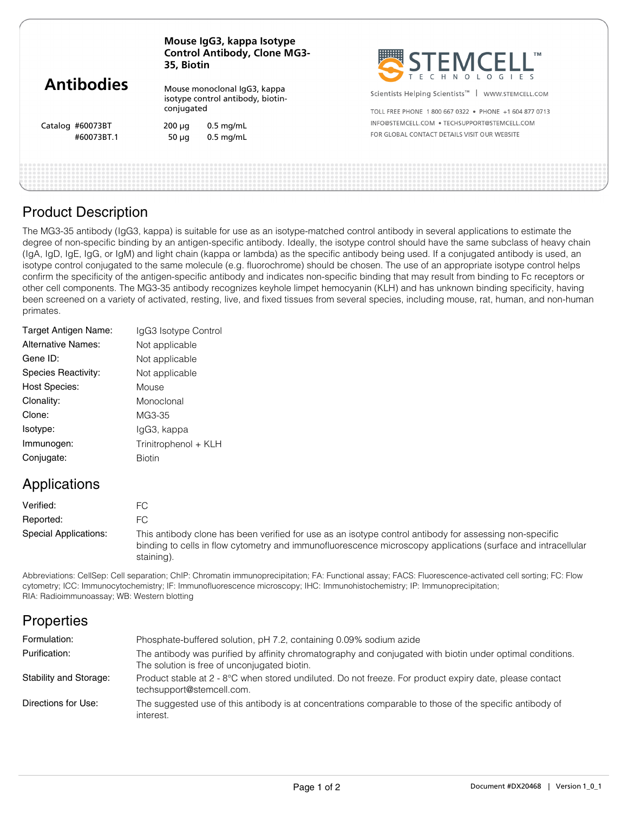| <b>Antibodies</b>              | Mouse IgG3, kappa Isotype<br><b>Control Antibody, Clone MG3-</b><br>35, Biotin  |                            | STEMCELL'                                                        |  |
|--------------------------------|---------------------------------------------------------------------------------|----------------------------|------------------------------------------------------------------|--|
|                                | Mouse monoclonal IgG3, kappa<br>isotype control antibody, biotin-<br>conjugated |                            | Scientists Helping Scientists <sup>™</sup>  <br>WWW.STEMCELL.COM |  |
|                                |                                                                                 |                            | TOLL FREE PHONE 1800 667 0322 • PHONE +1 604 877 0713            |  |
| Catalog #60073BT<br>#60073BT.1 | 200 µg                                                                          | $0.5$ mg/mL<br>$0.5$ mg/mL | INFO@STEMCELL.COM . TECHSUPPORT@STEMCELL.COM                     |  |
|                                | 50 $\mu$ q                                                                      |                            | FOR GLOBAL CONTACT DETAILS VISIT OUR WEBSITE                     |  |
|                                |                                                                                 |                            |                                                                  |  |
|                                |                                                                                 |                            |                                                                  |  |

## Product Description

The MG3-35 antibody (IgG3, kappa) is suitable for use as an isotype-matched control antibody in several applications to estimate the degree of non-specific binding by an antigen-specific antibody. Ideally, the isotype control should have the same subclass of heavy chain (IgA, IgD, IgE, IgG, or IgM) and light chain (kappa or lambda) as the specific antibody being used. If a conjugated antibody is used, an isotype control conjugated to the same molecule (e.g. fluorochrome) should be chosen. The use of an appropriate isotype control helps confirm the specificity of the antigen-specific antibody and indicates non-specific binding that may result from binding to Fc receptors or other cell components. The MG3-35 antibody recognizes keyhole limpet hemocyanin (KLH) and has unknown binding specificity, having been screened on a variety of activated, resting, live, and fixed tissues from several species, including mouse, rat, human, and non-human primates.

| IgG3 Isotype Control |
|----------------------|
| Not applicable       |
| Not applicable       |
| Not applicable       |
| Mouse                |
| Monoclonal           |
| MG3-35               |
| lgG3, kappa          |
| Trinitrophenol + KLH |
| <b>Biotin</b>        |
|                      |

## Applications

| Verified:             |                                                                                                                                                                                                                                       |
|-----------------------|---------------------------------------------------------------------------------------------------------------------------------------------------------------------------------------------------------------------------------------|
| Reported:             |                                                                                                                                                                                                                                       |
| Special Applications: | This antibody clone has been verified for use as an isotype control antibody for assessing non-specific<br>binding to cells in flow cytometry and immunofluorescence microscopy applications (surface and intracellular<br>staining). |

Abbreviations: CellSep: Cell separation; ChIP: Chromatin immunoprecipitation; FA: Functional assay; FACS: Fluorescence-activated cell sorting; FC: Flow cytometry; ICC: Immunocytochemistry; IF: Immunofluorescence microscopy; IHC: Immunohistochemistry; IP: Immunoprecipitation; RIA: Radioimmunoassay; WB: Western blotting

# **Properties**

| Formulation:           | Phosphate-buffered solution, pH 7.2, containing 0.09% sodium azide                                                                                        |
|------------------------|-----------------------------------------------------------------------------------------------------------------------------------------------------------|
| Purification:          | The antibody was purified by affinity chromatography and conjugated with biotin under optimal conditions.<br>The solution is free of unconjugated biotin. |
| Stability and Storage: | Product stable at 2 - 8°C when stored undiluted. Do not freeze. For product expiry date, please contact<br>techsupport@stemcell.com.                      |
| Directions for Use:    | The suggested use of this antibody is at concentrations comparable to those of the specific antibody of<br>interest.                                      |